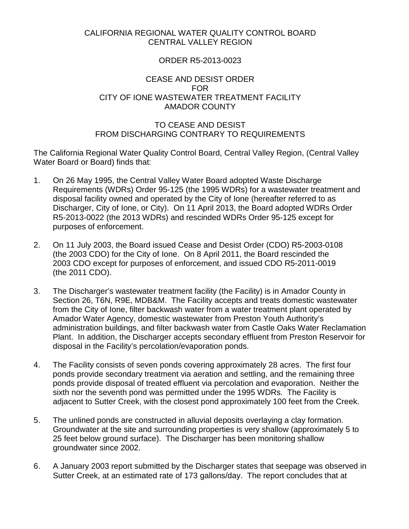## CALIFORNIA REGIONAL WATER QUALITY CONTROL BOARD CENTRAL VALLEY REGION

## ORDER R5-2013-0023

### CEASE AND DESIST ORDER FOR CITY OF IONE WASTEWATER TREATMENT FACILITY AMADOR COUNTY

## TO CEASE AND DESIST FROM DISCHARGING CONTRARY TO REQUIREMENTS

The California Regional Water Quality Control Board, Central Valley Region, (Central Valley Water Board or Board) finds that:

- 1. On 26 May 1995, the Central Valley Water Board adopted Waste Discharge Requirements (WDRs) Order 95-125 (the 1995 WDRs) for a wastewater treatment and disposal facility owned and operated by the City of Ione (hereafter referred to as Discharger, City of Ione, or City). On 11 April 2013, the Board adopted WDRs Order R5-2013-0022 (the 2013 WDRs) and rescinded WDRs Order 95-125 except for purposes of enforcement.
- 2. On 11 July 2003, the Board issued Cease and Desist Order (CDO) R5-2003-0108 (the 2003 CDO) for the City of Ione. On 8 April 2011, the Board rescinded the 2003 CDO except for purposes of enforcement, and issued CDO R5-2011-0019 (the 2011 CDO).
- 3. The Discharger's wastewater treatment facility (the Facility) is in Amador County in Section 26, T6N, R9E, MDB&M. The Facility accepts and treats domestic wastewater from the City of Ione, filter backwash water from a water treatment plant operated by Amador Water Agency, domestic wastewater from Preston Youth Authority's administration buildings, and filter backwash water from Castle Oaks Water Reclamation Plant. In addition, the Discharger accepts secondary effluent from Preston Reservoir for disposal in the Facility's percolation/evaporation ponds.
- 4. The Facility consists of seven ponds covering approximately 28 acres. The first four ponds provide secondary treatment via aeration and settling, and the remaining three ponds provide disposal of treated effluent via percolation and evaporation. Neither the sixth nor the seventh pond was permitted under the 1995 WDRs. The Facility is adjacent to Sutter Creek, with the closest pond approximately 100 feet from the Creek.
- 5. The unlined ponds are constructed in alluvial deposits overlaying a clay formation. Groundwater at the site and surrounding properties is very shallow (approximately 5 to 25 feet below ground surface). The Discharger has been monitoring shallow groundwater since 2002.
- 6. A January 2003 report submitted by the Discharger states that seepage was observed in Sutter Creek, at an estimated rate of 173 gallons/day. The report concludes that at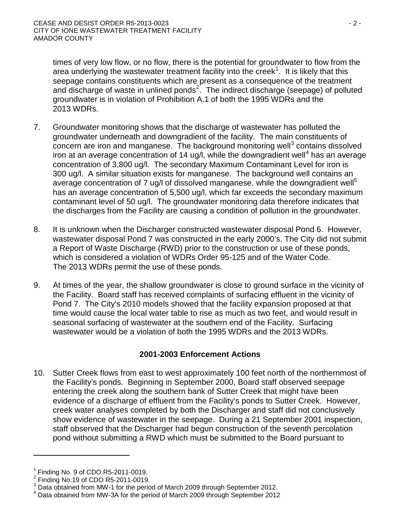times of very low flow, or no flow, there is the potential for groundwater to flow from the area underlying the wastewater treatment facility into the creek<sup>[1](#page-1-0)</sup>. It is likely that this seepage contains constituents which are present as a consequence of the treatment and discharge of waste in unlined ponds<sup>[2](#page-1-1)</sup>. The indirect discharge (seepage) of polluted groundwater is in violation of Prohibition A.1 of both the 1995 WDRs and the 2013 WDRs.

- 7. Groundwater monitoring shows that the discharge of wastewater has polluted the groundwater underneath and downgradient of the facility. The main constituents of  $\overline{\text{concern}}$  are iron and manganese. The background monitoring well<sup>[3](#page-1-2)</sup> contains dissolved iron at an average concentration of 1[4](#page-1-3) ug/l, while the downgradient well<sup>4</sup> has an average concentration of 3,800 ug/l. The secondary Maximum Contaminant Level for iron is 300 ug/l. A similar situation exists for manganese. The background well contains an average concentration of 7 ug/l of dissolved manganese, while the downgradient well<sup>5</sup> has an average concentration of 5,500 ug/l, which far exceeds the secondary maximum contaminant level of 50 ug/l. The groundwater monitoring data therefore indicates that the discharges from the Facility are causing a condition of pollution in the groundwater.
- 8. It is unknown when the Discharger constructed wastewater disposal Pond 6. However, wastewater disposal Pond 7 was constructed in the early 2000's. The City did not submit a Report of Waste Discharge (RWD) prior to the construction or use of these ponds, which is considered a violation of WDRs Order 95-125 and of the Water Code. The 2013 WDRs permit the use of these ponds.
- 9. At times of the year, the shallow groundwater is close to ground surface in the vicinity of the Facility. Board staff has received complaints of surfacing effluent in the vicinity of Pond 7. The City's 2010 models showed that the facility expansion proposed at that time would cause the local water table to rise as much as two feet, and would result in seasonal surfacing of wastewater at the southern end of the Facility. Surfacing wastewater would be a violation of both the 1995 WDRs and the 2013 WDRs.

# **2001-2003 Enforcement Actions**

10. Sutter Creek flows from east to west approximately 100 feet north of the northernmost of the Facility's ponds. Beginning in September 2000, Board staff observed seepage entering the creek along the southern bank of Sutter Creek that might have been evidence of a discharge of effluent from the Facility's ponds to Sutter Creek. However, creek water analyses completed by both the Discharger and staff did not conclusively show evidence of wastewater in the seepage. During a 21 September 2001 inspection, staff observed that the Discharger had begun construction of the seventh percolation pond without submitting a RWD which must be submitted to the Board pursuant to

<span id="page-1-0"></span>Finding No. 9 of CDO R5-2011-0019.

<span id="page-1-1"></span> $2$  Finding No.19 of CDO R5-2011-0019.

<span id="page-1-3"></span><span id="page-1-2"></span> $3$  Data obtained from MW-1 for the period of March 2009 through September 2012.<br> $4$  Data obtained from MW-3A for the period of March 2009 through September 2012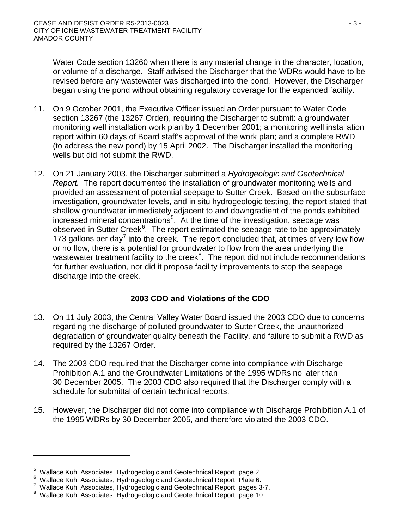Water Code section 13260 when there is any material change in the character, location, or volume of a discharge. Staff advised the Discharger that the WDRs would have to be revised before any wastewater was discharged into the pond. However, the Discharger began using the pond without obtaining regulatory coverage for the expanded facility.

- 11. On 9 October 2001, the Executive Officer issued an Order pursuant to Water Code section 13267 (the 13267 Order), requiring the Discharger to submit: a groundwater monitoring well installation work plan by 1 December 2001; a monitoring well installation report within 60 days of Board staff's approval of the work plan; and a complete RWD (to address the new pond) by 15 April 2002. The Discharger installed the monitoring wells but did not submit the RWD.
- 12. On 21 January 2003, the Discharger submitted a *Hydrogeologic and Geotechnical Report.* The report documented the installation of groundwater monitoring wells and provided an assessment of potential seepage to Sutter Creek. Based on the subsurface investigation, groundwater levels, and in situ hydrogeologic testing, the report stated that shallow groundwater immediately adjacent to and downgradient of the ponds exhibited increased mineral concentrations<sup>[5](#page-2-0)</sup>. At the time of the investigation, seepage was observed in Sutter Creek<sup>[6](#page-2-1)</sup>. The report estimated the seepage rate to be approximately 1[7](#page-2-2)3 gallons per day<sup>7</sup> into the creek. The report concluded that, at times of very low flow or no flow, there is a potential for groundwater to flow from the area underlying the wastewater treatment facility to the creek ${}^{8}$  ${}^{8}$  ${}^{8}$ . The report did not include recommendations for further evaluation, nor did it propose facility improvements to stop the seepage discharge into the creek.

# **2003 CDO and Violations of the CDO**

- 13. On 11 July 2003, the Central Valley Water Board issued the 2003 CDO due to concerns regarding the discharge of polluted groundwater to Sutter Creek, the unauthorized degradation of groundwater quality beneath the Facility, and failure to submit a RWD as required by the 13267 Order.
- 14. The 2003 CDO required that the Discharger come into compliance with Discharge Prohibition A.1 and the Groundwater Limitations of the 1995 WDRs no later than 30 December 2005. The 2003 CDO also required that the Discharger comply with a schedule for submittal of certain technical reports.
- 15. However, the Discharger did not come into compliance with Discharge Prohibition A.1 of the 1995 WDRs by 30 December 2005, and therefore violated the 2003 CDO.

<sup>&</sup>lt;sup>5</sup> Wallace Kuhl Associates, Hydrogeologic and Geotechnical Report, page 2.<br><sup>6</sup> Wellace Kuhl Associates, Hydrogeologic and Cestechnical Benert, Plate 6.

<span id="page-2-1"></span><span id="page-2-0"></span> $6$  Wallace Kuhl Associates, Hydrogeologic and Geotechnical Report, Plate 6.

<span id="page-2-2"></span> $\frac{7}{7}$  Wallace Kuhl Associates, Hydrogeologic and Geotechnical Report, pages 3-7.

<span id="page-2-3"></span><sup>&</sup>lt;sup>8</sup> Wallace Kuhl Associates, Hydrogeologic and Geotechnical Report, page 10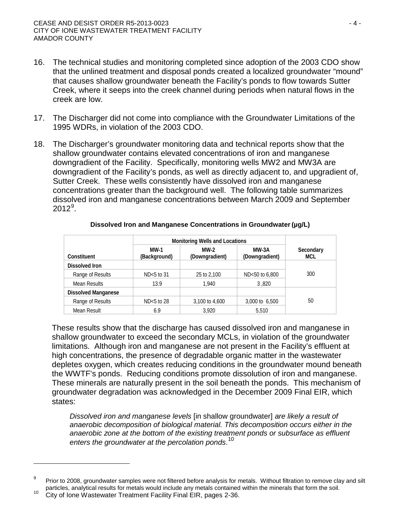- 16. The technical studies and monitoring completed since adoption of the 2003 CDO show that the unlined treatment and disposal ponds created a localized groundwater "mound" that causes shallow groundwater beneath the Facility's ponds to flow towards Sutter Creek, where it seeps into the creek channel during periods when natural flows in the creek are low.
- 17. The Discharger did not come into compliance with the Groundwater Limitations of the 1995 WDRs, in violation of the 2003 CDO.
- 18. The Discharger's groundwater monitoring data and technical reports show that the shallow groundwater contains elevated concentrations of iron and manganese downgradient of the Facility. Specifically, monitoring wells MW2 and MW3A are downgradient of the Facility's ponds, as well as directly adjacent to, and upgradient of, Sutter Creek. These wells consistently have dissolved iron and manganese concentrations greater than the background well. The following table summarizes dissolved iron and manganese concentrations between March 2009 and September  $2012^9$  $2012^9$ .

|                            | <b>Monitoring Wells and Locations</b> |                        |                           |                  |
|----------------------------|---------------------------------------|------------------------|---------------------------|------------------|
| Constituent                | MW-1<br>(Background)                  | MW-2<br>(Downgradient) | $MW-3A$<br>(Downgradient) | Secondary<br>MCL |
| Dissolved Iron             |                                       |                        |                           |                  |
| Range of Results           | $ND<5$ to 31                          | 25 to 2,100            | ND<50 to 6,800            | 300              |
| Mean Results               | 13.9                                  | 1.940                  | 3.820                     |                  |
| <b>Dissolved Manganese</b> |                                       |                        |                           |                  |
| Range of Results           | $ND<5$ to 28                          | 3,100 to 4,600         | 3,000 to 6,500            | 50               |
| Mean Result                | 6.9                                   | 3.920                  | 5.510                     |                  |

#### **Dissolved Iron and Manganese Concentrations in Groundwater(µg/L)**

These results show that the discharge has caused dissolved iron and manganese in shallow groundwater to exceed the secondary MCLs, in violation of the groundwater limitations. Although iron and manganese are not present in the Facility's effluent at high concentrations, the presence of degradable organic matter in the wastewater depletes oxygen, which creates reducing conditions in the groundwater mound beneath the WWTF's ponds. Reducing conditions promote dissolution of iron and manganese. These minerals are naturally present in the soil beneath the ponds. This mechanism of groundwater degradation was acknowledged in the December 2009 Final EIR, which states:

*Dissolved iron and manganese levels* [in shallow groundwater] *are likely a result of anaerobic decomposition of biological material. This decomposition occurs either in the anaerobic zone at the bottom of the existing treatment ponds or subsurface as effluent enters the groundwater at the percolation ponds*. [10](#page-3-1)

<span id="page-3-0"></span>Prior to 2008, groundwater samples were not filtered before analysis for metals. Without filtration to remove clay and silt particles, analytical results for metals would include any metals contained within the minerals that form the soil.<br><sup>10</sup> City of Ione Wastewater Treatment Facility Final EIR, pages 2-36.

<span id="page-3-1"></span>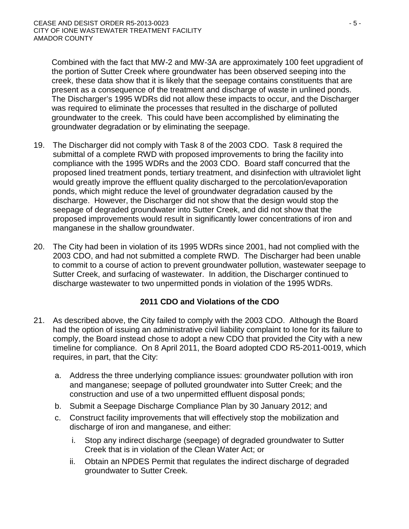Combined with the fact that MW-2 and MW-3A are approximately 100 feet upgradient of the portion of Sutter Creek where groundwater has been observed seeping into the creek, these data show that it is likely that the seepage contains constituents that are present as a consequence of the treatment and discharge of waste in unlined ponds. The Discharger's 1995 WDRs did not allow these impacts to occur, and the Discharger was required to eliminate the processes that resulted in the discharge of polluted groundwater to the creek. This could have been accomplished by eliminating the groundwater degradation or by eliminating the seepage.

- 19. The Discharger did not comply with Task 8 of the 2003 CDO. Task 8 required the submittal of a complete RWD with proposed improvements to bring the facility into compliance with the 1995 WDRs and the 2003 CDO. Board staff concurred that the proposed lined treatment ponds, tertiary treatment, and disinfection with ultraviolet light would greatly improve the effluent quality discharged to the percolation/evaporation ponds, which might reduce the level of groundwater degradation caused by the discharge. However, the Discharger did not show that the design would stop the seepage of degraded groundwater into Sutter Creek, and did not show that the proposed improvements would result in significantly lower concentrations of iron and manganese in the shallow groundwater.
- 20. The City had been in violation of its 1995 WDRs since 2001, had not complied with the 2003 CDO, and had not submitted a complete RWD. The Discharger had been unable to commit to a course of action to prevent groundwater pollution, wastewater seepage to Sutter Creek, and surfacing of wastewater. In addition, the Discharger continued to discharge wastewater to two unpermitted ponds in violation of the 1995 WDRs.

# **2011 CDO and Violations of the CDO**

- 21. As described above, the City failed to comply with the 2003 CDO. Although the Board had the option of issuing an administrative civil liability complaint to Ione for its failure to comply, the Board instead chose to adopt a new CDO that provided the City with a new timeline for compliance. On 8 April 2011, the Board adopted CDO R5-2011-0019, which requires, in part, that the City:
	- a. Address the three underlying compliance issues: groundwater pollution with iron and manganese; seepage of polluted groundwater into Sutter Creek; and the construction and use of a two unpermitted effluent disposal ponds;
	- b. Submit a Seepage Discharge Compliance Plan by 30 January 2012; and
	- c. Construct facility improvements that will effectively stop the mobilization and discharge of iron and manganese, and either:
		- i. Stop any indirect discharge (seepage) of degraded groundwater to Sutter Creek that is in violation of the Clean Water Act; or
		- ii. Obtain an NPDES Permit that regulates the indirect discharge of degraded groundwater to Sutter Creek.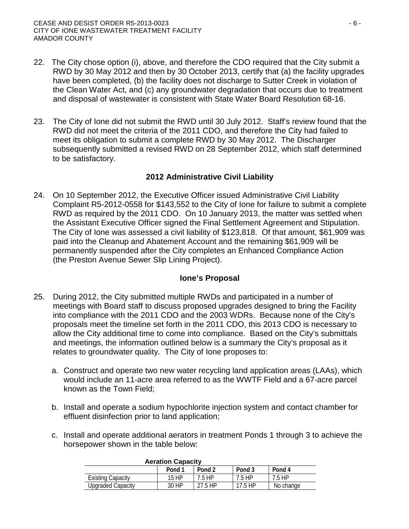- 22. The City chose option (i), above, and therefore the CDO required that the City submit a RWD by 30 May 2012 and then by 30 October 2013, certify that (a) the facility upgrades have been completed, (b) the facility does not discharge to Sutter Creek in violation of the Clean Water Act, and (c) any groundwater degradation that occurs due to treatment and disposal of wastewater is consistent with State Water Board Resolution 68-16.
- 23. The City of Ione did not submit the RWD until 30 July 2012. Staff's review found that the RWD did not meet the criteria of the 2011 CDO, and therefore the City had failed to meet its obligation to submit a complete RWD by 30 May 2012. The Discharger subsequently submitted a revised RWD on 28 September 2012, which staff determined to be satisfactory.

## **2012 Administrative Civil Liability**

24. On 10 September 2012, the Executive Officer issued Administrative Civil Liability Complaint R5-2012-0558 for \$143,552 to the City of Ione for failure to submit a complete RWD as required by the 2011 CDO. On 10 January 2013, the matter was settled when the Assistant Executive Officer signed the Final Settlement Agreement and Stipulation. The City of Ione was assessed a civil liability of \$123,818. Of that amount, \$61,909 was paid into the Cleanup and Abatement Account and the remaining \$61,909 will be permanently suspended after the City completes an Enhanced Compliance Action (the Preston Avenue Sewer Slip Lining Project).

# **Ione's Proposal**

- 25. During 2012, the City submitted multiple RWDs and participated in a number of meetings with Board staff to discuss proposed upgrades designed to bring the Facility into compliance with the 2011 CDO and the 2003 WDRs. Because none of the City's proposals meet the timeline set forth in the 2011 CDO, this 2013 CDO is necessary to allow the City additional time to come into compliance. Based on the City's submittals and meetings, the information outlined below is a summary the City's proposal as it relates to groundwater quality. The City of Ione proposes to:
	- a. Construct and operate two new water recycling land application areas (LAAs), which would include an 11-acre area referred to as the WWTF Field and a 67-acre parcel known as the Town Field;
	- b. Install and operate a sodium hypochlorite injection system and contact chamber for effluent disinfection prior to land application;
	- c. Install and operate additional aerators in treatment Ponds 1 through 3 to achieve the horsepower shown in the table below:

| <b>AVIULIUII VUDUVILI</b> |                   |         |         |           |  |
|---------------------------|-------------------|---------|---------|-----------|--|
|                           | Pond <sub>1</sub> | Pond 2  | Pond 3  | Pond 4    |  |
| <b>Existing Capacity</b>  | 15 HP             | 7.5 HP  | 7.5 HP  | 7.5 HP    |  |
| <b>Upgraded Capacity</b>  | 30 HP             | 27.5 HP | 17.5 HP | No change |  |

#### **Aeration Capacity**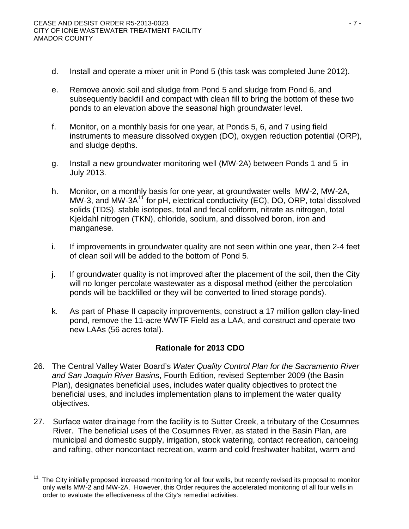- d. Install and operate a mixer unit in Pond 5 (this task was completed June 2012).
- e. Remove anoxic soil and sludge from Pond 5 and sludge from Pond 6, and subsequently backfill and compact with clean fill to bring the bottom of these two ponds to an elevation above the seasonal high groundwater level.
- f. Monitor, on a monthly basis for one year, at Ponds 5, 6, and 7 using field instruments to measure dissolved oxygen (DO), oxygen reduction potential (ORP), and sludge depths.
- g. Install a new groundwater monitoring well (MW-2A) between Ponds 1 and 5 in July 2013.
- h. Monitor, on a monthly basis for one year, at groundwater wells MW-2, MW-2A, MW-3, and MW-3A<sup>[11](#page-6-0)</sup> for pH, electrical conductivity (EC), DO, ORP, total dissolved solids (TDS), stable isotopes, total and fecal coliform, nitrate as nitrogen, total Kjeldahl nitrogen (TKN), chloride, sodium, and dissolved boron, iron and manganese.
- i. If improvements in groundwater quality are not seen within one year, then 2-4 feet of clean soil will be added to the bottom of Pond 5.
- j. If groundwater quality is not improved after the placement of the soil, then the City will no longer percolate wastewater as a disposal method (either the percolation ponds will be backfilled or they will be converted to lined storage ponds).
- k. As part of Phase II capacity improvements, construct a 17 million gallon clay-lined pond, remove the 11-acre WWTF Field as a LAA, and construct and operate two new LAAs (56 acres total).

# **Rationale for 2013 CDO**

- 26. The Central Valley Water Board's *Water Quality Control Plan for the Sacramento River and San Joaquin River Basins*, Fourth Edition, revised September 2009 (the Basin Plan), designates beneficial uses, includes water quality objectives to protect the beneficial uses, and includes implementation plans to implement the water quality objectives.
- 27. Surface water drainage from the facility is to Sutter Creek, a tributary of the Cosumnes River. The beneficial uses of the Cosumnes River, as stated in the Basin Plan, are municipal and domestic supply, irrigation, stock watering, contact recreation, canoeing and rafting, other noncontact recreation, warm and cold freshwater habitat, warm and

<span id="page-6-0"></span> $11$  The City initially proposed increased monitoring for all four wells, but recently revised its proposal to monitor only wells MW-2 and MW-2A. However, this Order requires the accelerated monitoring of all four wells in order to evaluate the effectiveness of the City's remedial activities.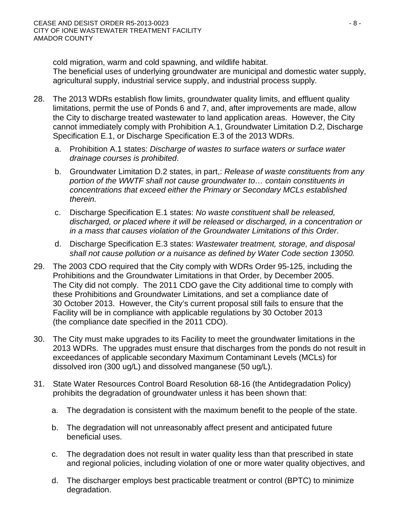cold migration, warm and cold spawning, and wildlife habitat.

The beneficial uses of underlying groundwater are municipal and domestic water supply, agricultural supply, industrial service supply, and industrial process supply.

- 28. The 2013 WDRs establish flow limits, groundwater quality limits, and effluent quality limitations, permit the use of Ponds 6 and 7, and, after improvements are made, allow the City to discharge treated wastewater to land application areas. However, the City cannot immediately comply with Prohibition A.1, Groundwater Limitation D.2, Discharge Specification E.1, or Discharge Specification E.3 of the 2013 WDRs.
	- a. Prohibition A.1 states: *Discharge of wastes to surface waters or surface water drainage courses is prohibited*.
	- b. Groundwater Limitation D.2 states, in part,: *Release of waste constituents from any portion of the WWTF shall not cause groundwater to… contain constituents in concentrations that exceed either the Primary or Secondary MCLs established therein.*
	- c. Discharge Specification E.1 states: *No waste constituent shall be released, discharged, or placed where it will be released or discharged, in a concentration or in a mass that causes violation of the Groundwater Limitations of this Order*.
	- d. Discharge Specification E.3 states: *Wastewater treatment, storage, and disposal shall not cause pollution or a nuisance as defined by Water Code section 13050.*
- 29. The 2003 CDO required that the City comply with WDRs Order 95-125, including the Prohibitions and the Groundwater Limitations in that Order, by December 2005. The City did not comply. The 2011 CDO gave the City additional time to comply with these Prohibitions and Groundwater Limitations, and set a compliance date of 30 October 2013. However, the City's current proposal still fails to ensure that the Facility will be in compliance with applicable regulations by 30 October 2013 (the compliance date specified in the 2011 CDO).
- 30. The City must make upgrades to its Facility to meet the groundwater limitations in the 2013 WDRs. The upgrades must ensure that discharges from the ponds do not result in exceedances of applicable secondary Maximum Contaminant Levels (MCLs) for dissolved iron (300 ug/L) and dissolved manganese (50 ug/L).
- 31. State Water Resources Control Board Resolution 68-16 (the Antidegradation Policy) prohibits the degradation of groundwater unless it has been shown that:
	- a. The degradation is consistent with the maximum benefit to the people of the state.
	- b. The degradation will not unreasonably affect present and anticipated future beneficial uses.
	- c. The degradation does not result in water quality less than that prescribed in state and regional policies, including violation of one or more water quality objectives, and
	- d. The discharger employs best practicable treatment or control (BPTC) to minimize degradation.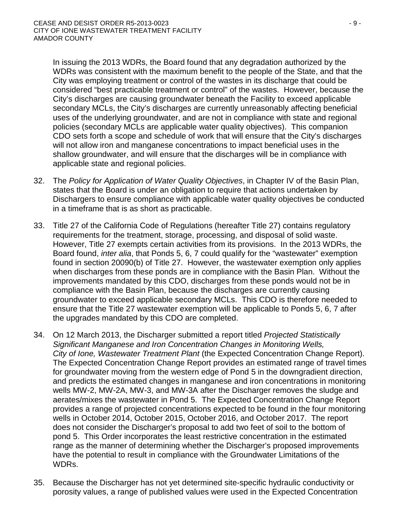In issuing the 2013 WDRs, the Board found that any degradation authorized by the WDRs was consistent with the maximum benefit to the people of the State, and that the City was employing treatment or control of the wastes in its discharge that could be considered "best practicable treatment or control" of the wastes. However, because the City's discharges are causing groundwater beneath the Facility to exceed applicable secondary MCLs, the City's discharges are currently unreasonably affecting beneficial uses of the underlying groundwater, and are not in compliance with state and regional policies (secondary MCLs are applicable water quality objectives). This companion CDO sets forth a scope and schedule of work that will ensure that the City's discharges will not allow iron and manganese concentrations to impact beneficial uses in the shallow groundwater, and will ensure that the discharges will be in compliance with applicable state and regional policies.

- 32. The *Policy for Application of Water Quality Objectives*, in Chapter IV of the Basin Plan, states that the Board is under an obligation to require that actions undertaken by Dischargers to ensure compliance with applicable water quality objectives be conducted in a timeframe that is as short as practicable.
- 33. Title 27 of the California Code of Regulations (hereafter Title 27) contains regulatory requirements for the treatment, storage, processing, and disposal of solid waste. However, Title 27 exempts certain activities from its provisions. In the 2013 WDRs, the Board found, *inter alia*, that Ponds 5, 6, 7 could qualify for the "wastewater" exemption found in section 20090(b) of Title 27. However, the wastewater exemption only applies when discharges from these ponds are in compliance with the Basin Plan. Without the improvements mandated by this CDO, discharges from these ponds would not be in compliance with the Basin Plan, because the discharges are currently causing groundwater to exceed applicable secondary MCLs. This CDO is therefore needed to ensure that the Title 27 wastewater exemption will be applicable to Ponds 5, 6, 7 after the upgrades mandated by this CDO are completed.
- 34. On 12 March 2013, the Discharger submitted a report titled *Projected Statistically Significant Manganese and Iron Concentration Changes in Monitoring Wells, City of Ione, Wastewater Treatment Plant* (the Expected Concentration Change Report). The Expected Concentration Change Report provides an estimated range of travel times for groundwater moving from the western edge of Pond 5 in the downgradient direction, and predicts the estimated changes in manganese and iron concentrations in monitoring wells MW-2, MW-2A, MW-3, and MW-3A after the Discharger removes the sludge and aerates/mixes the wastewater in Pond 5. The Expected Concentration Change Report provides a range of projected concentrations expected to be found in the four monitoring wells in October 2014, October 2015, October 2016, and October 2017. The report does not consider the Discharger's proposal to add two feet of soil to the bottom of pond 5. This Order incorporates the least restrictive concentration in the estimated range as the manner of determining whether the Discharger's proposed improvements have the potential to result in compliance with the Groundwater Limitations of the WDRs.
- 35. Because the Discharger has not yet determined site-specific hydraulic conductivity or porosity values, a range of published values were used in the Expected Concentration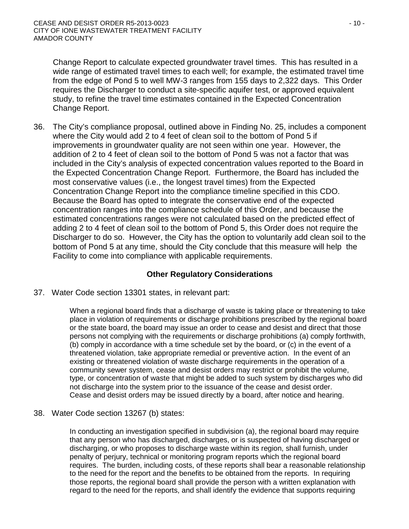Change Report to calculate expected groundwater travel times. This has resulted in a wide range of estimated travel times to each well; for example, the estimated travel time from the edge of Pond 5 to well MW-3 ranges from 155 days to 2,322 days. This Order requires the Discharger to conduct a site-specific aquifer test, or approved equivalent study, to refine the travel time estimates contained in the Expected Concentration Change Report.

36. The City's compliance proposal, outlined above in Finding No. 25, includes a component where the City would add 2 to 4 feet of clean soil to the bottom of Pond 5 if improvements in groundwater quality are not seen within one year. However, the addition of 2 to 4 feet of clean soil to the bottom of Pond 5 was not a factor that was included in the City's analysis of expected concentration values reported to the Board in the Expected Concentration Change Report. Furthermore, the Board has included the most conservative values (i.e., the longest travel times) from the Expected Concentration Change Report into the compliance timeline specified in this CDO. Because the Board has opted to integrate the conservative end of the expected concentration ranges into the compliance schedule of this Order, and because the estimated concentrations ranges were not calculated based on the predicted effect of adding 2 to 4 feet of clean soil to the bottom of Pond 5, this Order does not require the Discharger to do so. However, the City has the option to voluntarily add clean soil to the bottom of Pond 5 at any time, should the City conclude that this measure will help the Facility to come into compliance with applicable requirements.

### **Other Regulatory Considerations**

37. Water Code section 13301 states, in relevant part:

When a regional board finds that a discharge of waste is taking place or threatening to take place in violation of requirements or discharge prohibitions prescribed by the regional board or the state board, the board may issue an order to cease and desist and direct that those persons not complying with the requirements or discharge prohibitions (a) comply forthwith, (b) comply in accordance with a time schedule set by the board, or (c) in the event of a threatened violation, take appropriate remedial or preventive action. In the event of an existing or threatened violation of waste discharge requirements in the operation of a community sewer system, cease and desist orders may restrict or prohibit the volume, type, or concentration of waste that might be added to such system by discharges who did not discharge into the system prior to the issuance of the cease and desist order. Cease and desist orders may be issued directly by a board, after notice and hearing.

38. Water Code section 13267 (b) states:

In conducting an investigation specified in subdivision (a), the regional board may require that any person who has discharged, discharges, or is suspected of having discharged or discharging, or who proposes to discharge waste within its region, shall furnish, under penalty of perjury, technical or monitoring program reports which the regional board requires. The burden, including costs, of these reports shall bear a reasonable relationship to the need for the report and the benefits to be obtained from the reports. In requiring those reports, the regional board shall provide the person with a written explanation with regard to the need for the reports, and shall identify the evidence that supports requiring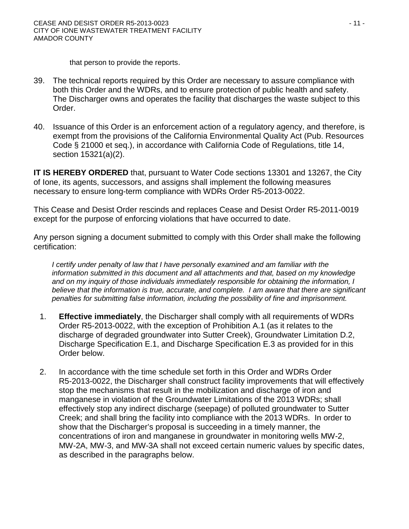that person to provide the reports.

- 39. The technical reports required by this Order are necessary to assure compliance with both this Order and the WDRs, and to ensure protection of public health and safety. The Discharger owns and operates the facility that discharges the waste subject to this Order.
- 40. Issuance of this Order is an enforcement action of a regulatory agency, and therefore, is exempt from the provisions of the California Environmental Quality Act (Pub. Resources Code § 21000 et seq.), in accordance with California Code of Regulations, title 14, section 15321(a)(2).

**IT IS HEREBY ORDERED** that, pursuant to Water Code sections 13301 and 13267, the City of Ione, its agents, successors, and assigns shall implement the following measures necessary to ensure long-term compliance with WDRs Order R5-2013-0022.

This Cease and Desist Order rescinds and replaces Cease and Desist Order R5-2011-0019 except for the purpose of enforcing violations that have occurred to date.

Any person signing a document submitted to comply with this Order shall make the following certification:

*I certify under penalty of law that I have personally examined and am familiar with the information submitted in this document and all attachments and that, based on my knowledge and on my inquiry of those individuals immediately responsible for obtaining the information, I believe that the information is true, accurate, and complete. I am aware that there are significant penalties for submitting false information, including the possibility of fine and imprisonment.*

- 1. **Effective immediately**, the Discharger shall comply with all requirements of WDRs Order R5-2013-0022, with the exception of Prohibition A.1 (as it relates to the discharge of degraded groundwater into Sutter Creek), Groundwater Limitation D.2, Discharge Specification E.1, and Discharge Specification E.3 as provided for in this Order below.
- 2. In accordance with the time schedule set forth in this Order and WDRs Order R5-2013-0022, the Discharger shall construct facility improvements that will effectively stop the mechanisms that result in the mobilization and discharge of iron and manganese in violation of the Groundwater Limitations of the 2013 WDRs; shall effectively stop any indirect discharge (seepage) of polluted groundwater to Sutter Creek; and shall bring the facility into compliance with the 2013 WDRs. In order to show that the Discharger's proposal is succeeding in a timely manner, the concentrations of iron and manganese in groundwater in monitoring wells MW-2, MW-2A, MW-3, and MW-3A shall not exceed certain numeric values by specific dates, as described in the paragraphs below.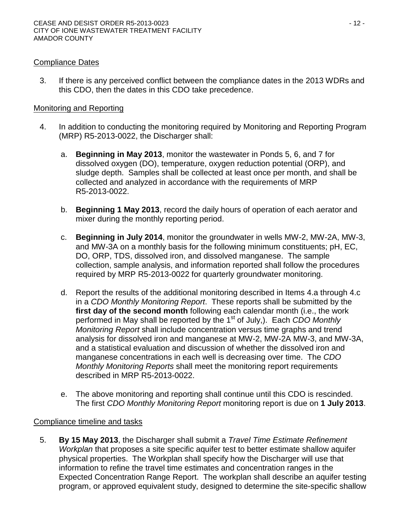## Compliance Dates

3. If there is any perceived conflict between the compliance dates in the 2013 WDRs and this CDO, then the dates in this CDO take precedence.

## Monitoring and Reporting

- 4. In addition to conducting the monitoring required by Monitoring and Reporting Program (MRP) R5-2013-0022, the Discharger shall:
	- a. **Beginning in May 2013**, monitor the wastewater in Ponds 5, 6, and 7 for dissolved oxygen (DO), temperature, oxygen reduction potential (ORP), and sludge depth. Samples shall be collected at least once per month, and shall be collected and analyzed in accordance with the requirements of MRP R5-2013-0022.
	- b. **Beginning 1 May 2013**, record the daily hours of operation of each aerator and mixer during the monthly reporting period.
	- c. **Beginning in July 2014**, monitor the groundwater in wells MW-2, MW-2A, MW-3, and MW-3A on a monthly basis for the following minimum constituents; pH, EC, DO, ORP, TDS, dissolved iron, and dissolved manganese. The sample collection, sample analysis, and information reported shall follow the procedures required by MRP R5-2013-0022 for quarterly groundwater monitoring.
	- d. Report the results of the additional monitoring described in Items 4.a through 4.c in a *CDO Monthly Monitoring Report*. These reports shall be submitted by the **first day of the second month** following each calendar month (i.e., the work performed in May shall be reported by the 1st of July,). Each *CDO Monthly Monitoring Report* shall include concentration versus time graphs and trend analysis for dissolved iron and manganese at MW-2, MW-2A MW-3, and MW-3A, and a statistical evaluation and discussion of whether the dissolved iron and manganese concentrations in each well is decreasing over time. The *CDO Monthly Monitoring Reports* shall meet the monitoring report requirements described in MRP R5-2013-0022.
	- e. The above monitoring and reporting shall continue until this CDO is rescinded. The first *CDO Monthly Monitoring Report* monitoring report is due on **1 July 2013**.

# Compliance timeline and tasks

5. **By 15 May 2013**, the Discharger shall submit a *Travel Time Estimate Refinement Workplan* that proposes a site specific aquifer test to better estimate shallow aquifer physical properties. The Workplan shall specify how the Discharger will use that information to refine the travel time estimates and concentration ranges in the Expected Concentration Range Report. The workplan shall describe an aquifer testing program, or approved equivalent study, designed to determine the site-specific shallow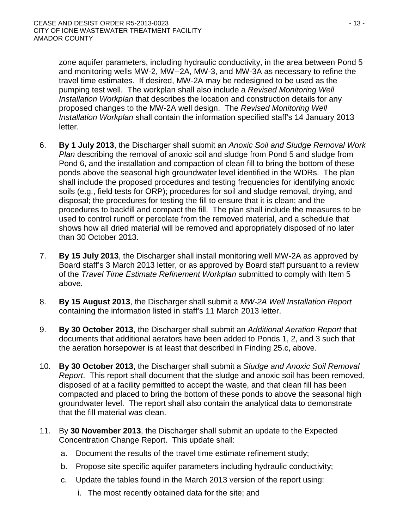zone aquifer parameters, including hydraulic conductivity, in the area between Pond 5 and monitoring wells MW-2, MW--2A, MW-3, and MW-3A as necessary to refine the travel time estimates. If desired, MW-2A may be redesigned to be used as the pumping test well. The workplan shall also include a *Revised Monitoring Well Installation Workplan* that describes the location and construction details for any proposed changes to the MW-2A well design. The *Revised Monitoring Well Installation Workplan* shall contain the information specified staff's 14 January 2013 letter.

- 6. **By 1 July 2013**, the Discharger shall submit an *Anoxic Soil and Sludge Removal Work Plan* describing the removal of anoxic soil and sludge from Pond 5 and sludge from Pond 6, and the installation and compaction of clean fill to bring the bottom of these ponds above the seasonal high groundwater level identified in the WDRs. The plan shall include the proposed procedures and testing frequencies for identifying anoxic soils (e.g., field tests for ORP); procedures for soil and sludge removal, drying, and disposal; the procedures for testing the fill to ensure that it is clean; and the procedures to backfill and compact the fill. The plan shall include the measures to be used to control runoff or percolate from the removed material, and a schedule that shows how all dried material will be removed and appropriately disposed of no later than 30 October 2013.
- 7. **By 15 July 2013**, the Discharger shall install monitoring well MW-2A as approved by Board staff's 3 March 2013 letter, or as approved by Board staff pursuant to a review of the *Travel Time Estimate Refinement Workplan* submitted to comply with Item 5 above*.*
- 8. **By 15 August 2013**, the Discharger shall submit a *MW-2A Well Installation Report* containing the information listed in staff's 11 March 2013 letter.
- 9. **By 30 October 2013**, the Discharger shall submit an *Additional Aeration Report* that documents that additional aerators have been added to Ponds 1, 2, and 3 such that the aeration horsepower is at least that described in Finding 25.c, above.
- 10. **By 30 October 2013**, the Discharger shall submit a *Sludge and Anoxic Soil Removal Report*. This report shall document that the sludge and anoxic soil has been removed, disposed of at a facility permitted to accept the waste, and that clean fill has been compacted and placed to bring the bottom of these ponds to above the seasonal high groundwater level. The report shall also contain the analytical data to demonstrate that the fill material was clean.
- 11. By **30 November 2013**, the Discharger shall submit an update to the Expected Concentration Change Report. This update shall:
	- a. Document the results of the travel time estimate refinement study;
	- b. Propose site specific aquifer parameters including hydraulic conductivity;
	- c. Update the tables found in the March 2013 version of the report using:
		- i. The most recently obtained data for the site; and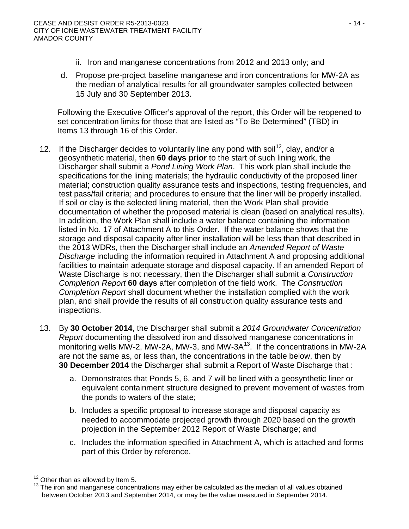- ii. Iron and manganese concentrations from 2012 and 2013 only; and
- d. Propose pre-project baseline manganese and iron concentrations for MW-2A as the median of analytical results for all groundwater samples collected between 15 July and 30 September 2013.

Following the Executive Officer's approval of the report, this Order will be reopened to set concentration limits for those that are listed as "To Be Determined" (TBD) in Items 13 through 16 of this Order.

- 12. If the Discharger decides to voluntarily line any pond with soil<sup>12</sup>, clay, and/or a geosynthetic material, then **60 days prior** to the start of such lining work, the Discharger shall submit a *Pond Lining Work Plan*. This work plan shall include the specifications for the lining materials; the hydraulic conductivity of the proposed liner material; construction quality assurance tests and inspections, testing frequencies, and test pass/fail criteria; and procedures to ensure that the liner will be properly installed. If soil or clay is the selected lining material, then the Work Plan shall provide documentation of whether the proposed material is clean (based on analytical results). In addition, the Work Plan shall include a water balance containing the information listed in No. 17 of Attachment A to this Order. If the water balance shows that the storage and disposal capacity after liner installation will be less than that described in the 2013 WDRs, then the Discharger shall include an *Amended Report of Waste Discharge* including the information required in Attachment A and proposing additional facilities to maintain adequate storage and disposal capacity. If an amended Report of Waste Discharge is not necessary, then the Discharger shall submit a *Construction Completion Report* **60 days** after completion of the field work. The *Construction Completion Report* shall document whether the installation complied with the work plan, and shall provide the results of all construction quality assurance tests and inspections.
- 13. By **30 October 2014**, the Discharger shall submit a *2014 Groundwater Concentration Report* documenting the dissolved iron and dissolved manganese concentrations in monitoring wells MW-2, MW-2A, MW-3, and MW-3A $<sup>13</sup>$  $<sup>13</sup>$  $<sup>13</sup>$ . If the concentrations in MW-2A</sup> are not the same as, or less than, the concentrations in the table below, then by **30 December 2014** the Discharger shall submit a Report of Waste Discharge that :
	- a. Demonstrates that Ponds 5, 6, and 7 will be lined with a geosynthetic liner or equivalent containment structure designed to prevent movement of wastes from the ponds to waters of the state;
	- b. Includes a specific proposal to increase storage and disposal capacity as needed to accommodate projected growth through 2020 based on the growth projection in the September 2012 Report of Waste Discharge; and
	- c. Includes the information specified in Attachment A, which is attached and forms part of this Order by reference.

<span id="page-13-1"></span><span id="page-13-0"></span> $12$  Other than as allowed by Item 5.<br> $13$  The iron and manganese concentrations may either be calculated as the median of all values obtained between October 2013 and September 2014, or may be the value measured in September 2014.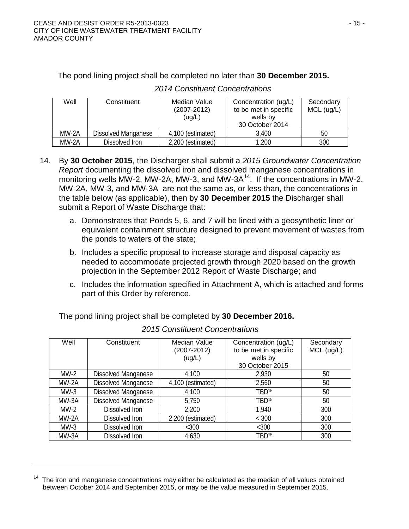| Well    | Constituent                | Median Value<br>$(2007 - 2012)$<br>(ug/L) | Concentration (ug/L)<br>to be met in specific<br>wells by<br>30 October 2014 | Secondary<br>$MCL$ (ug/L) |
|---------|----------------------------|-------------------------------------------|------------------------------------------------------------------------------|---------------------------|
| $MW-2A$ | <b>Dissolved Manganese</b> | 4,100 (estimated)                         | 3,400                                                                        | 50                        |
| MW-2A   | Dissolved Iron             | 2,200 (estimated)                         | 1,200                                                                        | 300                       |

## The pond lining project shall be completed no later than **30 December 2015.**

- 14. By **30 October 2015**, the Discharger shall submit a *2015 Groundwater Concentration Report* documenting the dissolved iron and dissolved manganese concentrations in monitoring wells MW-2, MW-2A, MW-3, and MW-3 $A<sup>14</sup>$  $A<sup>14</sup>$  $A<sup>14</sup>$ . If the concentrations in MW-2, MW-2A, MW-3, and MW-3A are not the same as, or less than, the concentrations in the table below (as applicable), then by **30 December 2015** the Discharger shall submit a Report of Waste Discharge that:
	- a. Demonstrates that Ponds 5, 6, and 7 will be lined with a geosynthetic liner or equivalent containment structure designed to prevent movement of wastes from the ponds to waters of the state;
	- b. Includes a specific proposal to increase storage and disposal capacity as needed to accommodate projected growth through 2020 based on the growth projection in the September 2012 Report of Waste Discharge; and
	- c. Includes the information specified in Attachment A, which is attached and forms part of this Order by reference.

The pond lining project shall be completed by **30 December 2016.** 

| Well    | Constituent                | Median Value      | Concentration (ug/L)  | Secondary  |
|---------|----------------------------|-------------------|-----------------------|------------|
|         |                            | $(2007 - 2012)$   | to be met in specific | MCL (ug/L) |
|         |                            | (ug/L)            | wells by              |            |
|         |                            |                   | 30 October 2015       |            |
| $MW-2$  | <b>Dissolved Manganese</b> | 4,100             | 2,930                 | 50         |
| $MW-2A$ | Dissolved Manganese        | 4,100 (estimated) | 2,560                 | 50         |
| $MW-3$  | Dissolved Manganese        | 4,100             | TBD <sup>15</sup>     | 50         |
| MW-3A   | <b>Dissolved Manganese</b> | 5,750             | TBD <sup>15</sup>     | 50         |
| $MW-2$  | Dissolved Iron             | 2,200             | 1,940                 | 300        |
| $MW-2A$ | Dissolved Iron             | 2,200 (estimated) | < 300                 | 300        |
| $MW-3$  | Dissolved Iron             | <300              | <300                  | 300        |
| MW-3A   | Dissolved Iron             | 4,630             | TBD <sup>15</sup>     | 300        |

*2015 Constituent Concentrations*

<span id="page-14-0"></span>The iron and manganese concentrations may either be calculated as the median of all values obtained between October 2014 and September 2015, or may be the value measured in September 2015.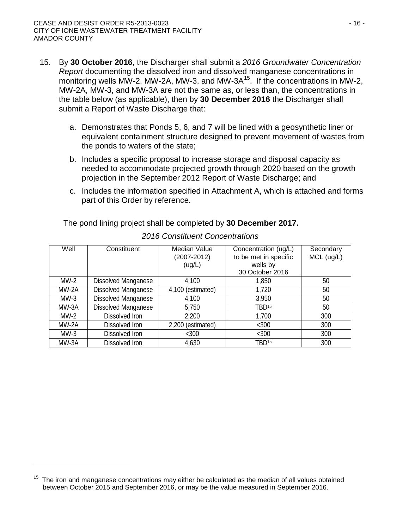- 15. By **30 October 2016**, the Discharger shall submit a *2016 Groundwater Concentration Report* documenting the dissolved iron and dissolved manganese concentrations in monitoring wells MW-2, MW-2A, MW-3, and MW-3 $A^{15}$  $A^{15}$  $A^{15}$ . If the concentrations in MW-2, MW-2A, MW-3, and MW-3A are not the same as, or less than, the concentrations in the table below (as applicable), then by **30 December 2016** the Discharger shall submit a Report of Waste Discharge that:
	- a. Demonstrates that Ponds 5, 6, and 7 will be lined with a geosynthetic liner or equivalent containment structure designed to prevent movement of wastes from the ponds to waters of the state;
	- b. Includes a specific proposal to increase storage and disposal capacity as needed to accommodate projected growth through 2020 based on the growth projection in the September 2012 Report of Waste Discharge; and
	- c. Includes the information specified in Attachment A, which is attached and forms part of this Order by reference.

The pond lining project shall be completed by **30 December 2017.** 

| Well    | Constituent                | Median Value<br>$(2007 - 2012)$<br>(ug/L) | Concentration (ug/L)<br>to be met in specific<br>wells by<br>30 October 2016 | Secondary<br>MCL (ug/L) |
|---------|----------------------------|-------------------------------------------|------------------------------------------------------------------------------|-------------------------|
| $MW-2$  | <b>Dissolved Manganese</b> | 4,100                                     | 1,850                                                                        | 50                      |
| $MW-2A$ | Dissolved Manganese        | 4,100 (estimated)                         | 1,720                                                                        | 50                      |
| $MW-3$  | <b>Dissolved Manganese</b> | 4,100                                     | 3,950                                                                        | 50                      |
| MW-3A   | Dissolved Manganese        | 5,750                                     | TBD <sup>15</sup>                                                            | 50                      |
| $MW-2$  | Dissolved Iron             | 2,200                                     | 1,700                                                                        | 300                     |
| $MW-2A$ | Dissolved Iron             | 2,200 (estimated)                         | <300                                                                         | 300                     |
| $MW-3$  | Dissolved Iron             | <300                                      | <300                                                                         | 300                     |
| $MW-3A$ | Dissolved Iron             | 4,630                                     | TBD <sup>15</sup>                                                            | 300                     |

*2016 Constituent Concentrations*

<span id="page-15-0"></span> $15$  The iron and manganese concentrations may either be calculated as the median of all values obtained between October 2015 and September 2016, or may be the value measured in September 2016.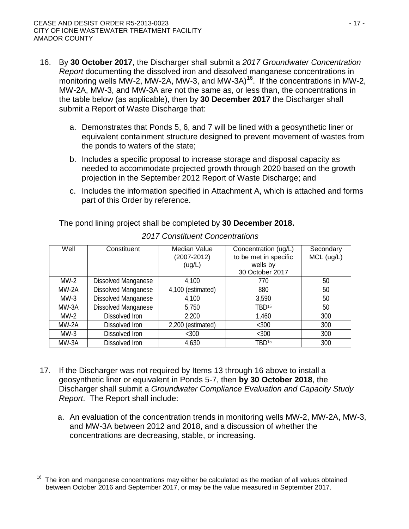- 16. By **30 October 2017**, the Discharger shall submit a *2017 Groundwater Concentration Report* documenting the dissolved iron and dissolved manganese concentrations in monitoring wells MW-2, MW-2A, MW-3, and MW-3A)<sup>16</sup>. If the concentrations in MW-2, MW-2A, MW-3, and MW-3A are not the same as, or less than, the concentrations in the table below (as applicable), then by **30 December 2017** the Discharger shall submit a Report of Waste Discharge that:
	- a. Demonstrates that Ponds 5, 6, and 7 will be lined with a geosynthetic liner or equivalent containment structure designed to prevent movement of wastes from the ponds to waters of the state;
	- b. Includes a specific proposal to increase storage and disposal capacity as needed to accommodate projected growth through 2020 based on the growth projection in the September 2012 Report of Waste Discharge; and
	- c. Includes the information specified in Attachment A, which is attached and forms part of this Order by reference.

The pond lining project shall be completed by **30 December 2018.** 

| Well    | Constituent                | Median Value<br>$(2007 - 2012)$<br>(ug/L) | Concentration (ug/L)<br>to be met in specific<br>wells by<br>30 October 2017 | Secondary<br>MCL (ug/L) |
|---------|----------------------------|-------------------------------------------|------------------------------------------------------------------------------|-------------------------|
| $MW-2$  | <b>Dissolved Manganese</b> | 4,100                                     | 770                                                                          | 50                      |
| $MW-2A$ | Dissolved Manganese        | 4,100 (estimated)                         | 880                                                                          | 50                      |
| $MW-3$  | Dissolved Manganese        | 4,100                                     | 3,590                                                                        | 50                      |
| $MW-3A$ | Dissolved Manganese        | 5,750                                     | TBD <sup>15</sup>                                                            | 50                      |
| $MW-2$  | Dissolved Iron             | 2,200                                     | 1,460                                                                        | 300                     |
| $MW-2A$ | Dissolved Iron             | 2,200 (estimated)                         | <300                                                                         | 300                     |
| $MW-3$  | Dissolved Iron             | < 300                                     | <300                                                                         | 300                     |
| $MW-3A$ | Dissolved Iron             | 4,630                                     | TBD <sup>15</sup>                                                            | 300                     |

*2017 Constituent Concentrations*

- 17. If the Discharger was not required by Items 13 through 16 above to install a geosynthetic liner or equivalent in Ponds 5-7, then **by 30 October 2018**, the Discharger shall submit a *Groundwater Compliance Evaluation and Capacity Study Report*. The Report shall include:
	- a. An evaluation of the concentration trends in monitoring wells MW-2, MW-2A, MW-3, and MW-3A between 2012 and 2018, and a discussion of whether the concentrations are decreasing, stable, or increasing.

<span id="page-16-0"></span> $16$  The iron and manganese concentrations may either be calculated as the median of all values obtained between October 2016 and September 2017, or may be the value measured in September 2017.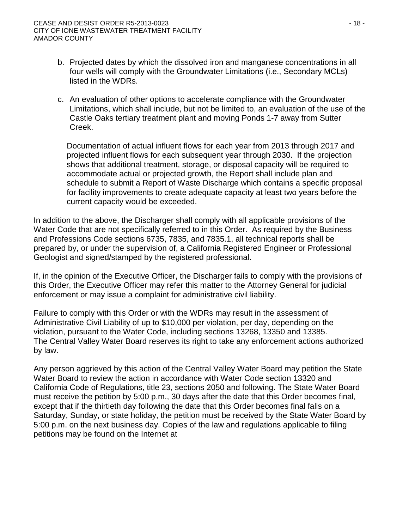#### CEASE AND DESIST ORDER R5-2013-0023 - 18 - CITY OF IONE WASTEWATER TREATMENT FACILITY AMADOR COUNTY

- b. Projected dates by which the dissolved iron and manganese concentrations in all four wells will comply with the Groundwater Limitations (i.e., Secondary MCLs) listed in the WDRs.
- c. An evaluation of other options to accelerate compliance with the Groundwater Limitations, which shall include, but not be limited to, an evaluation of the use of the Castle Oaks tertiary treatment plant and moving Ponds 1-7 away from Sutter Creek.

Documentation of actual influent flows for each year from 2013 through 2017 and projected influent flows for each subsequent year through 2030. If the projection shows that additional treatment, storage, or disposal capacity will be required to accommodate actual or projected growth, the Report shall include plan and schedule to submit a Report of Waste Discharge which contains a specific proposal for facility improvements to create adequate capacity at least two years before the current capacity would be exceeded.

In addition to the above, the Discharger shall comply with all applicable provisions of the Water Code that are not specifically referred to in this Order. As required by the Business and Professions Code sections 6735, 7835, and 7835.1, all technical reports shall be prepared by, or under the supervision of, a California Registered Engineer or Professional Geologist and signed/stamped by the registered professional.

If, in the opinion of the Executive Officer, the Discharger fails to comply with the provisions of this Order, the Executive Officer may refer this matter to the Attorney General for judicial enforcement or may issue a complaint for administrative civil liability.

Failure to comply with this Order or with the WDRs may result in the assessment of Administrative Civil Liability of up to \$10,000 per violation, per day, depending on the violation, pursuant to the Water Code, including sections 13268, 13350 and 13385. The Central Valley Water Board reserves its right to take any enforcement actions authorized by law.

Any person aggrieved by this action of the Central Valley Water Board may petition the State Water Board to review the action in accordance with Water Code section 13320 and California Code of Regulations, title 23, sections 2050 and following. The State Water Board must receive the petition by 5:00 p.m., 30 days after the date that this Order becomes final, except that if the thirtieth day following the date that this Order becomes final falls on a Saturday, Sunday, or state holiday, the petition must be received by the State Water Board by 5:00 p.m. on the next business day. Copies of the law and regulations applicable to filing petitions may be found on the Internet at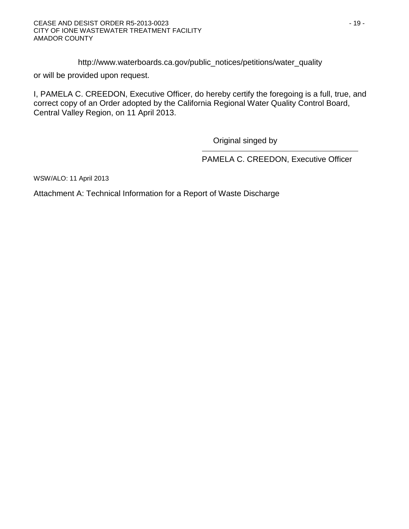[http://www.waterboards.ca.gov/public\\_notices/petitions/water\\_quality](http://www.waterboards.ca.gov/public_notices/petitions/water_quality)

or will be provided upon request.

I, PAMELA C. CREEDON, Executive Officer, do hereby certify the foregoing is a full, true, and correct copy of an Order adopted by the California Regional Water Quality Control Board, Central Valley Region, on 11 April 2013.

Original singed by

PAMELA C. CREEDON, Executive Officer

WSW/ALO: 11 April 2013

Attachment A: Technical Information for a Report of Waste Discharge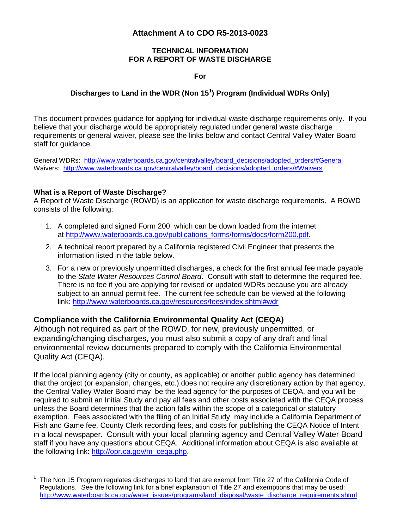### **Attachment A to CDO R5-2013-0023**

#### **TECHNICAL INFORMATION FOR A REPORT OF WASTE DISCHARGE**

**For**

## **Discharges to Land in the WDR (Non 15[1](#page-19-0) ) Program (Individual WDRs Only)**

This document provides guidance for applying for individual waste discharge requirements only. If you believe that your discharge would be appropriately regulated under general waste discharge requirements or general waiver, please see the links below and contact Central Valley Water Board staff for guidance.

General WDRs: [http://www.waterboards.ca.gov/centralvalley/board\\_decisions/adopted\\_orders/#General](http://www.waterboards.ca.gov/centralvalley/board_decisions/adopted_orders/#General) Waivers: [http://www.waterboards.ca.gov/centralvalley/board\\_decisions/adopted\\_orders/#Waivers](http://www.waterboards.ca.gov/centralvalley/board_decisions/adopted_orders/#Waivers)

### **What is a Report of Waste Discharge?**

 $\overline{a}$ 

A Report of Waste Discharge (ROWD) is an application for waste discharge requirements. A ROWD consists of the following:

- 1. A completed and signed Form 200, which can be down loaded from the internet at [http://www.waterboards.ca.gov/publications\\_forms/forms/docs/form200.pdf.](http://www.waterboards.ca.gov/publications_forms/forms/docs/form200.pdf)
- 2. A technical report prepared by a California registered Civil Engineer that presents the information listed in the table below.
- 3. For a new or previously unpermitted discharges, a check for the first annual fee made payable to the *State Water Resources Control Board*. Consult with staff to determine the required fee. There is no fee if you are applying for revised or updated WDRs because you are already subject to an annual permit fee. The current fee schedule can be viewed at the following link:<http://www.waterboards.ca.gov/resources/fees/index.shtml#wdr>

### **Compliance with the California Environmental Quality Act (CEQA)**

Although not required as part of the ROWD, for new, previously unpermitted, or expanding/changing discharges, you must also submit a copy of any draft and final environmental review documents prepared to comply with the California Environmental Quality Act (CEQA).

If the local planning agency (city or county, as applicable) or another public agency has determined that the project (or expansion, changes, etc.) does not require any discretionary action by that agency, the Central Valley Water Board may be the lead agency for the purposes of CEQA, and you will be required to submit an Initial Study and pay all fees and other costs associated with the CEQA process unless the Board determines that the action falls within the scope of a categorical or statutory exemption. Fees associated with the filing of an Initial Study may include a California Department of Fish and Game fee, County Clerk recording fees, and costs for publishing the CEQA Notice of Intent in a local newspaper. Consult with your local planning agency and Central Valley Water Board staff if you have any questions about CEQA. Additional information about CEQA is also available at the following link: [http://opr.ca.gov/m\\_ceqa.php.](http://opr.ca.gov/m_ceqa.php)

<span id="page-19-0"></span><sup>1</sup> The Non 15 Program regulates discharges to land that are exempt from Title 27 of the California Code of Regulations. See the following link for a brief explanation of Title 27 and exemptions that may be used: [http://www.waterboards.ca.gov/water\\_issues/programs/land\\_disposal/waste\\_discharge\\_requirements.shtml](http://www.waterboards.ca.gov/water_issues/programs/land_disposal/waste_discharge_requirements.shtml)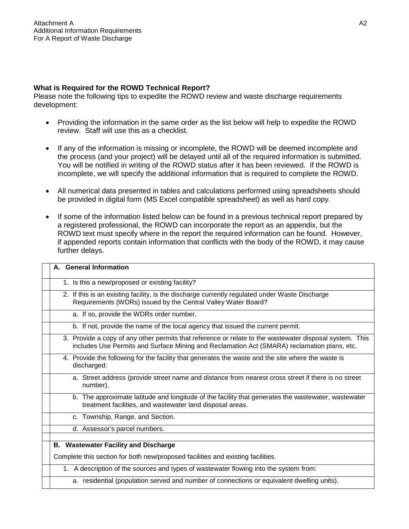#### **What is Required for the ROWD Technical Report?**

Please note the following tips to expedite the ROWD review and waste discharge requirements development:

- Providing the information in the same order as the list below will help to expedite the ROWD review. Staff will use this as a checklist.
- If any of the information is missing or incomplete, the ROWD will be deemed incomplete and the process (and your project) will be delayed until all of the required information is submitted. You will be notified in writing of the ROWD status after it has been reviewed. If the ROWD is incomplete, we will specify the additional information that is required to complete the ROWD.
- All numerical data presented in tables and calculations performed using spreadsheets should be provided in digital form (MS Excel compatible spreadsheet) as well as hard copy.
- If some of the information listed below can be found in a previous technical report prepared by a registered professional, the ROWD can incorporate the report as an appendix, but the ROWD text must specify where in the report the required information can be found. However, if appended reports contain information that conflicts with the body of the ROWD, it may cause further delays.

| A. General Information                                                                                                                                                                                 |
|--------------------------------------------------------------------------------------------------------------------------------------------------------------------------------------------------------|
| 1. Is this a new/proposed or existing facility?                                                                                                                                                        |
| 2. If this is an existing facility, is the discharge currently regulated under Waste Discharge<br>Requirements (WDRs) issued by the Central Valley Water Board?                                        |
| a. If so, provide the WDRs order number.                                                                                                                                                               |
| b. If not, provide the name of the local agency that issued the current permit.                                                                                                                        |
| 3. Provide a copy of any other permits that reference or relate to the wastewater disposal system. This<br>includes Use Permits and Surface Mining and Reclamation Act (SMARA) reclamation plans, etc. |
| 4. Provide the following for the facility that generates the waste and the site where the waste is<br>discharged:                                                                                      |
| a. Street address (provide street name and distance from nearest cross street if there is no street<br>number).                                                                                        |
| b. The approximate latitude and longitude of the facility that generates the wastewater, wastewater<br>treatment facilities, and wastewater land disposal areas.                                       |
| c. Township, Range, and Section.                                                                                                                                                                       |
| d. Assessor's parcel numbers.                                                                                                                                                                          |
|                                                                                                                                                                                                        |
| <b>B.</b> Wastewater Facility and Discharge                                                                                                                                                            |
| Complete this section for both new/proposed facilities and existing facilities.                                                                                                                        |
| 1. A description of the sources and types of wastewater flowing into the system from:                                                                                                                  |

a. residential (population served and number of connections or equivalent dwelling units).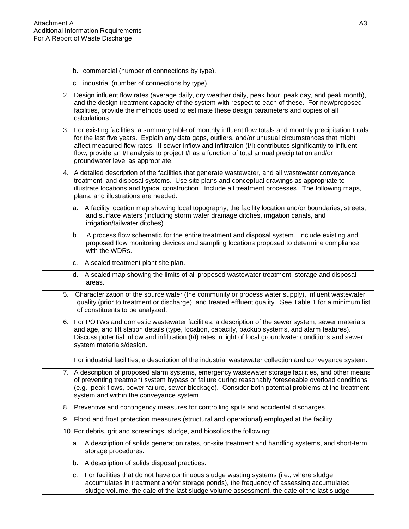| b. commercial (number of connections by type).                                                                                                                                                                                            |                                                                                                                                                                                                                                                                                                                               |
|-------------------------------------------------------------------------------------------------------------------------------------------------------------------------------------------------------------------------------------------|-------------------------------------------------------------------------------------------------------------------------------------------------------------------------------------------------------------------------------------------------------------------------------------------------------------------------------|
| c. industrial (number of connections by type).                                                                                                                                                                                            |                                                                                                                                                                                                                                                                                                                               |
| facilities, provide the methods used to estimate these design parameters and copies of all<br>calculations.                                                                                                                               | 2. Design influent flow rates (average daily, dry weather daily, peak hour, peak day, and peak month),<br>and the design treatment capacity of the system with respect to each of these. For new/proposed                                                                                                                     |
| flow, provide an I/I analysis to project I/I as a function of total annual precipitation and/or<br>groundwater level as appropriate.                                                                                                      | 3. For existing facilities, a summary table of monthly influent flow totals and monthly precipitation totals<br>for the last five years. Explain any data gaps, outliers, and/or unusual circumstances that might<br>affect measured flow rates. If sewer inflow and infiltration (I/I) contributes significantly to influent |
| 4. A detailed description of the facilities that generate wastewater, and all wastewater conveyance,<br>treatment, and disposal systems. Use site plans and conceptual drawings as appropriate to<br>plans, and illustrations are needed: | illustrate locations and typical construction. Include all treatment processes. The following maps,                                                                                                                                                                                                                           |
| а.<br>and surface waters (including storm water drainage ditches, irrigation canals, and<br>irrigation/tailwater ditches).                                                                                                                | A facility location map showing local topography, the facility location and/or boundaries, streets,                                                                                                                                                                                                                           |
| b.<br>with the WDRs.                                                                                                                                                                                                                      | A process flow schematic for the entire treatment and disposal system. Include existing and<br>proposed flow monitoring devices and sampling locations proposed to determine compliance                                                                                                                                       |
| c. A scaled treatment plant site plan.                                                                                                                                                                                                    |                                                                                                                                                                                                                                                                                                                               |
| d.<br>areas.                                                                                                                                                                                                                              | A scaled map showing the limits of all proposed wastewater treatment, storage and disposal                                                                                                                                                                                                                                    |
| 5.<br>of constituents to be analyzed.                                                                                                                                                                                                     | Characterization of the source water (the community or process water supply), influent wastewater<br>quality (prior to treatment or discharge), and treated effluent quality. See Table 1 for a minimum list                                                                                                                  |
| 6. For POTWs and domestic wastewater facilities, a description of the sewer system, sewer materials<br>and age, and lift station details (type, location, capacity, backup systems, and alarm features).<br>system materials/design.      | Discuss potential inflow and infiltration (I/I) rates in light of local groundwater conditions and sewer                                                                                                                                                                                                                      |
|                                                                                                                                                                                                                                           | For industrial facilities, a description of the industrial wastewater collection and conveyance system.                                                                                                                                                                                                                       |
| system and within the conveyance system.                                                                                                                                                                                                  | 7. A description of proposed alarm systems, emergency wastewater storage facilities, and other means<br>of preventing treatment system bypass or failure during reasonably foreseeable overload conditions<br>(e.g., peak flows, power failure, sewer blockage). Consider both potential problems at the treatment            |
| 8. Preventive and contingency measures for controlling spills and accidental discharges.                                                                                                                                                  |                                                                                                                                                                                                                                                                                                                               |
| 9. Flood and frost protection measures (structural and operational) employed at the facility.                                                                                                                                             |                                                                                                                                                                                                                                                                                                                               |
| 10. For debris, grit and screenings, sludge, and biosolids the following:                                                                                                                                                                 |                                                                                                                                                                                                                                                                                                                               |
| а.<br>storage procedures.                                                                                                                                                                                                                 | A description of solids generation rates, on-site treatment and handling systems, and short-term                                                                                                                                                                                                                              |
| A description of solids disposal practices.<br>b.                                                                                                                                                                                         |                                                                                                                                                                                                                                                                                                                               |
| For facilities that do not have continuous sludge wasting systems (i.e., where sludge<br>c.                                                                                                                                               | accumulates in treatment and/or storage ponds), the frequency of assessing accumulated<br>sludge volume, the date of the last sludge volume assessment, the date of the last sludge                                                                                                                                           |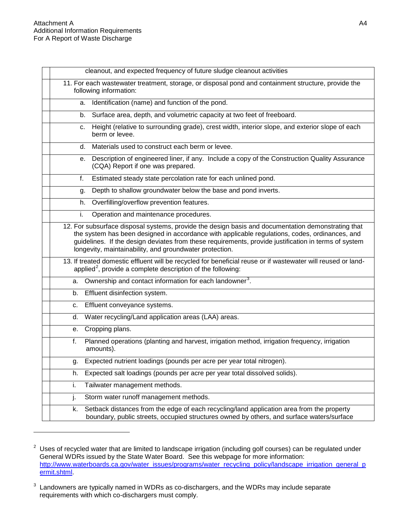|    | cleanout, and expected frequency of future sludge cleanout activities                                                                                                                                                                                                                                                                                                   |
|----|-------------------------------------------------------------------------------------------------------------------------------------------------------------------------------------------------------------------------------------------------------------------------------------------------------------------------------------------------------------------------|
|    | 11. For each wastewater treatment, storage, or disposal pond and containment structure, provide the<br>following information:                                                                                                                                                                                                                                           |
|    | a. Identification (name) and function of the pond.                                                                                                                                                                                                                                                                                                                      |
|    | Surface area, depth, and volumetric capacity at two feet of freeboard.<br>b.                                                                                                                                                                                                                                                                                            |
|    | Height (relative to surrounding grade), crest width, interior slope, and exterior slope of each<br>c.<br>berm or levee.                                                                                                                                                                                                                                                 |
|    | Materials used to construct each berm or levee.<br>d.                                                                                                                                                                                                                                                                                                                   |
|    | Description of engineered liner, if any. Include a copy of the Construction Quality Assurance<br>е.<br>(CQA) Report if one was prepared.                                                                                                                                                                                                                                |
|    | Estimated steady state percolation rate for each unlined pond.<br>f.                                                                                                                                                                                                                                                                                                    |
|    | Depth to shallow groundwater below the base and pond inverts.<br>g.                                                                                                                                                                                                                                                                                                     |
|    | Overfilling/overflow prevention features.<br>h.                                                                                                                                                                                                                                                                                                                         |
| i. | Operation and maintenance procedures.                                                                                                                                                                                                                                                                                                                                   |
|    | 12. For subsurface disposal systems, provide the design basis and documentation demonstrating that<br>the system has been designed in accordance with applicable regulations, codes, ordinances, and<br>guidelines. If the design deviates from these requirements, provide justification in terms of system<br>longevity, maintainability, and groundwater protection. |
|    | 13. If treated domestic effluent will be recycled for beneficial reuse or if wastewater will reused or land-<br>applied <sup>2</sup> , provide a complete description of the following:                                                                                                                                                                                 |
|    | a. Ownership and contact information for each landowner <sup>3</sup> .                                                                                                                                                                                                                                                                                                  |
| b. | Effluent disinfection system.                                                                                                                                                                                                                                                                                                                                           |
| C. | Effluent conveyance systems.                                                                                                                                                                                                                                                                                                                                            |
| d. | Water recycling/Land application areas (LAA) areas.                                                                                                                                                                                                                                                                                                                     |
| е. | Cropping plans.                                                                                                                                                                                                                                                                                                                                                         |
| f. | Planned operations (planting and harvest, irrigation method, irrigation frequency, irrigation<br>amounts).                                                                                                                                                                                                                                                              |
| g. | Expected nutrient loadings (pounds per acre per year total nitrogen).                                                                                                                                                                                                                                                                                                   |
| h. | Expected salt loadings (pounds per acre per year total dissolved solids).                                                                                                                                                                                                                                                                                               |
| i. | Tailwater management methods.                                                                                                                                                                                                                                                                                                                                           |
| j. | Storm water runoff management methods.                                                                                                                                                                                                                                                                                                                                  |
| k. | Setback distances from the edge of each recycling/land application area from the property<br>boundary, public streets, occupied structures owned by others, and surface waters/surface                                                                                                                                                                                  |

<span id="page-22-0"></span> $2$  Uses of recycled water that are limited to landscape irrigation (including golf courses) can be regulated under General WDRs issued by the State Water Board. See this webpage for more information: [http://www.waterboards.ca.gov/water\\_issues/programs/water\\_recycling\\_policy/landscape\\_irrigation\\_general\\_p](http://www.waterboards.ca.gov/water_issues/programs/water_recycling_policy/landscape_irrigation_general_permit.shtml) [ermit.shtml.](http://www.waterboards.ca.gov/water_issues/programs/water_recycling_policy/landscape_irrigation_general_permit.shtml)

<span id="page-22-1"></span><sup>&</sup>lt;sup>3</sup> Landowners are typically named in WDRs as co-dischargers, and the WDRs may include separate requirements with which co-dischargers must comply.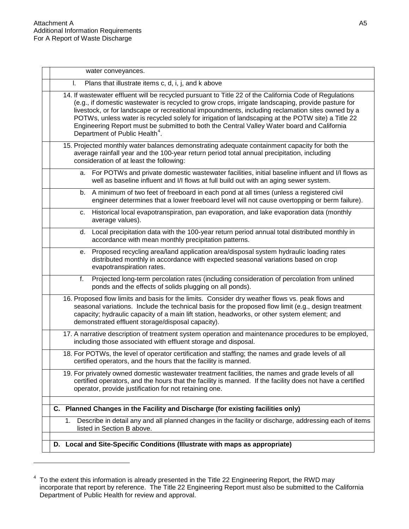| water conveyances.                                                                                                                                                                                                                                                                                                                                                                                                                                                                                                                                                |
|-------------------------------------------------------------------------------------------------------------------------------------------------------------------------------------------------------------------------------------------------------------------------------------------------------------------------------------------------------------------------------------------------------------------------------------------------------------------------------------------------------------------------------------------------------------------|
| Plans that illustrate items c, d, i, j, and k above<br>ı.                                                                                                                                                                                                                                                                                                                                                                                                                                                                                                         |
| 14. If wastewater effluent will be recycled pursuant to Title 22 of the California Code of Regulations<br>(e.g., if domestic wastewater is recycled to grow crops, irrigate landscaping, provide pasture for<br>livestock, or for landscape or recreational impoundments, including reclamation sites owned by a<br>POTWs, unless water is recycled solely for irrigation of landscaping at the POTW site) a Title 22<br>Engineering Report must be submitted to both the Central Valley Water board and California<br>Department of Public Health <sup>4</sup> . |
| 15. Projected monthly water balances demonstrating adequate containment capacity for both the<br>average rainfall year and the 100-year return period total annual precipitation, including<br>consideration of at least the following:                                                                                                                                                                                                                                                                                                                           |
| a. For POTWs and private domestic wastewater facilities, initial baseline influent and I/I flows as<br>well as baseline influent and I/I flows at full build out with an aging sewer system.                                                                                                                                                                                                                                                                                                                                                                      |
| b. A minimum of two feet of freeboard in each pond at all times (unless a registered civil<br>engineer determines that a lower freeboard level will not cause overtopping or berm failure).                                                                                                                                                                                                                                                                                                                                                                       |
| Historical local evapotranspiration, pan evaporation, and lake evaporation data (monthly<br>C.<br>average values).                                                                                                                                                                                                                                                                                                                                                                                                                                                |
| Local precipitation data with the 100-year return period annual total distributed monthly in<br>d.<br>accordance with mean monthly precipitation patterns.                                                                                                                                                                                                                                                                                                                                                                                                        |
| Proposed recycling area/land application area/disposal system hydraulic loading rates<br>е.<br>distributed monthly in accordance with expected seasonal variations based on crop<br>evapotranspiration rates.                                                                                                                                                                                                                                                                                                                                                     |
| Projected long-term percolation rates (including consideration of percolation from unlined<br>f.<br>ponds and the effects of solids plugging on all ponds).                                                                                                                                                                                                                                                                                                                                                                                                       |
| 16. Proposed flow limits and basis for the limits. Consider dry weather flows vs. peak flows and<br>seasonal variations. Include the technical basis for the proposed flow limit (e.g., design treatment<br>capacity; hydraulic capacity of a main lift station, headworks, or other system element; and<br>demonstrated effluent storage/disposal capacity).                                                                                                                                                                                                     |
| 17. A narrative description of treatment system operation and maintenance procedures to be employed,<br>including those associated with effluent storage and disposal.                                                                                                                                                                                                                                                                                                                                                                                            |
| 18. For POTWs, the level of operator certification and staffing; the names and grade levels of all<br>certified operators, and the hours that the facility is manned.                                                                                                                                                                                                                                                                                                                                                                                             |
| 19. For privately owned domestic wastewater treatment facilities, the names and grade levels of all<br>certified operators, and the hours that the facility is manned. If the facility does not have a certified<br>operator, provide justification for not retaining one.                                                                                                                                                                                                                                                                                        |
| C. Planned Changes in the Facility and Discharge (for existing facilities only)                                                                                                                                                                                                                                                                                                                                                                                                                                                                                   |
| Describe in detail any and all planned changes in the facility or discharge, addressing each of items<br>1.<br>listed in Section B above.                                                                                                                                                                                                                                                                                                                                                                                                                         |
| Local and Site-Specific Conditions (Illustrate with maps as appropriate)<br>D.                                                                                                                                                                                                                                                                                                                                                                                                                                                                                    |
|                                                                                                                                                                                                                                                                                                                                                                                                                                                                                                                                                                   |

<span id="page-23-0"></span> $4$  To the extent this information is already presented in the Title 22 Engineering Report, the RWD may incorporate that report by reference. The Title 22 Engineering Report must also be submitted to the California Department of Public Health for review and approval.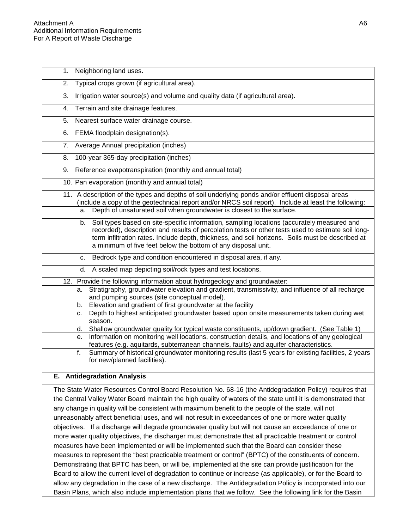| 1. | Neighboring land uses.                                                                                                                                                                                                                                                                                                                                                      |
|----|-----------------------------------------------------------------------------------------------------------------------------------------------------------------------------------------------------------------------------------------------------------------------------------------------------------------------------------------------------------------------------|
| 2. | Typical crops grown (if agricultural area).                                                                                                                                                                                                                                                                                                                                 |
| 3. | Irrigation water source(s) and volume and quality data (if agricultural area).                                                                                                                                                                                                                                                                                              |
| 4. | Terrain and site drainage features.                                                                                                                                                                                                                                                                                                                                         |
| 5. | Nearest surface water drainage course.                                                                                                                                                                                                                                                                                                                                      |
| 6. | FEMA floodplain designation(s).                                                                                                                                                                                                                                                                                                                                             |
|    | 7. Average Annual precipitation (inches)                                                                                                                                                                                                                                                                                                                                    |
| 8. | 100-year 365-day precipitation (inches)                                                                                                                                                                                                                                                                                                                                     |
| 9. | Reference evapotranspiration (monthly and annual total)                                                                                                                                                                                                                                                                                                                     |
|    | 10. Pan evaporation (monthly and annual total)                                                                                                                                                                                                                                                                                                                              |
|    | 11. A description of the types and depths of soil underlying ponds and/or effluent disposal areas<br>(include a copy of the geotechnical report and/or NRCS soil report). Include at least the following:<br>Depth of unsaturated soil when groundwater is closest to the surface.<br>а.                                                                                    |
|    | Soil types based on site-specific information, sampling locations (accurately measured and<br>b.<br>recorded), description and results of percolation tests or other tests used to estimate soil long-<br>term infiltration rates. Include depth, thickness, and soil horizons. Soils must be described at<br>a minimum of five feet below the bottom of any disposal unit. |
|    | c. Bedrock type and condition encountered in disposal area, if any.                                                                                                                                                                                                                                                                                                         |
|    | A scaled map depicting soil/rock types and test locations.<br>d.                                                                                                                                                                                                                                                                                                            |
|    | 12. Provide the following information about hydrogeology and groundwater:                                                                                                                                                                                                                                                                                                   |
|    | Stratigraphy, groundwater elevation and gradient, transmissivity, and influence of all recharge<br>а.<br>and pumping sources (site conceptual model).                                                                                                                                                                                                                       |
|    | Elevation and gradient of first groundwater at the facility<br>b.                                                                                                                                                                                                                                                                                                           |
|    | Depth to highest anticipated groundwater based upon onsite measurements taken during wet<br>с.<br>season.                                                                                                                                                                                                                                                                   |
|    | Shallow groundwater quality for typical waste constituents, up/down gradient. (See Table 1)<br>d.                                                                                                                                                                                                                                                                           |
|    | Information on monitoring well locations, construction details, and locations of any geological<br>е.<br>features (e.g. aquitards, subterranean channels, faults) and aquifer characteristics.                                                                                                                                                                              |
|    | Summary of historical groundwater monitoring results (last 5 years for existing facilities, 2 years<br>f.<br>for new/planned facilities).                                                                                                                                                                                                                                   |
| Е. | <b>Antidegradation Analysis</b>                                                                                                                                                                                                                                                                                                                                             |
|    |                                                                                                                                                                                                                                                                                                                                                                             |
|    | The State Water Resources Control Board Resolution No. 68-16 (the Antidegradation Policy) requires that                                                                                                                                                                                                                                                                     |
|    | the Central Valley Water Board maintain the high quality of waters of the state until it is demonstrated that                                                                                                                                                                                                                                                               |
|    | any change in quality will be consistent with maximum benefit to the people of the state, will not                                                                                                                                                                                                                                                                          |
|    | unreasonably affect beneficial uses, and will not result in exceedances of one or more water quality                                                                                                                                                                                                                                                                        |
|    | objectives. If a discharge will degrade groundwater quality but will not cause an exceedance of one or                                                                                                                                                                                                                                                                      |
|    | more water quality objectives, the discharger must demonstrate that all practicable treatment or control                                                                                                                                                                                                                                                                    |
|    | measures have been implemented or will be implemented such that the Board can consider these                                                                                                                                                                                                                                                                                |
|    | measures to represent the "best practicable treatment or control" (BPTC) of the constituents of concern.                                                                                                                                                                                                                                                                    |
|    | Demonstrating that BPTC has been, or will be, implemented at the site can provide justification for the                                                                                                                                                                                                                                                                     |

Board to allow the current level of degradation to continue or increase (as applicable), or for the Board to allow any degradation in the case of a new discharge. The Antidegradation Policy is incorporated into our Basin Plans, which also include implementation plans that we follow. See the following link for the Basin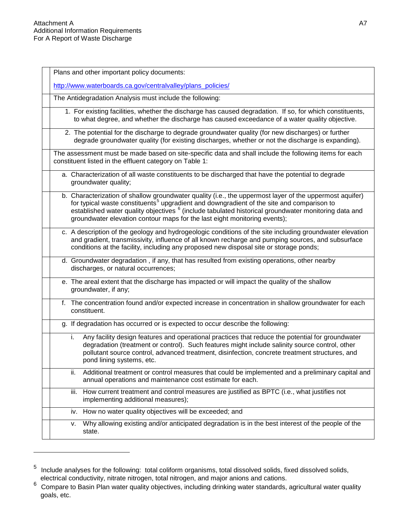| Plans and other important policy documents:                                                                                                                                                                                                                                                                                                                                                                      |
|------------------------------------------------------------------------------------------------------------------------------------------------------------------------------------------------------------------------------------------------------------------------------------------------------------------------------------------------------------------------------------------------------------------|
| http://www.waterboards.ca.gov/centralvalley/plans_policies/                                                                                                                                                                                                                                                                                                                                                      |
| The Antidegradation Analysis must include the following:                                                                                                                                                                                                                                                                                                                                                         |
| 1. For existing facilities, whether the discharge has caused degradation. If so, for which constituents,<br>to what degree, and whether the discharge has caused exceedance of a water quality objective.                                                                                                                                                                                                        |
| 2. The potential for the discharge to degrade groundwater quality (for new discharges) or further<br>degrade groundwater quality (for existing discharges, whether or not the discharge is expanding).                                                                                                                                                                                                           |
| The assessment must be made based on site-specific data and shall include the following items for each<br>constituent listed in the effluent category on Table 1:                                                                                                                                                                                                                                                |
| a. Characterization of all waste constituents to be discharged that have the potential to degrade<br>groundwater quality;                                                                                                                                                                                                                                                                                        |
| b. Characterization of shallow groundwater quality (i.e., the uppermost layer of the uppermost aquifer)<br>for typical waste constituents <sup>5</sup> upgradient and downgradient of the site and comparison to<br>established water quality objectives <sup>6</sup> (include tabulated historical groundwater monitoring data and<br>groundwater elevation contour maps for the last eight monitoring events); |
| c. A description of the geology and hydrogeologic conditions of the site including groundwater elevation<br>and gradient, transmissivity, influence of all known recharge and pumping sources, and subsurface<br>conditions at the facility, including any proposed new disposal site or storage ponds;                                                                                                          |
| d. Groundwater degradation, if any, that has resulted from existing operations, other nearby<br>discharges, or natural occurrences;                                                                                                                                                                                                                                                                              |
| e. The areal extent that the discharge has impacted or will impact the quality of the shallow<br>groundwater, if any;                                                                                                                                                                                                                                                                                            |
| f. The concentration found and/or expected increase in concentration in shallow groundwater for each<br>constituent.                                                                                                                                                                                                                                                                                             |
| g. If degradation has occurred or is expected to occur describe the following:                                                                                                                                                                                                                                                                                                                                   |
| i.<br>Any facility design features and operational practices that reduce the potential for groundwater<br>degradation (treatment or control). Such features might include salinity source control, other<br>pollutant source control, advanced treatment, disinfection, concrete treatment structures, and<br>pond lining systems, etc.                                                                          |
| Additional treatment or control measures that could be implemented and a preliminary capital and<br>ii.<br>annual operations and maintenance cost estimate for each.                                                                                                                                                                                                                                             |
| iii. How current treatment and control measures are justified as BPTC (i.e., what justifies not<br>implementing additional measures);                                                                                                                                                                                                                                                                            |
| iv. How no water quality objectives will be exceeded; and                                                                                                                                                                                                                                                                                                                                                        |
| Why allowing existing and/or anticipated degradation is in the best interest of the people of the<br>۷.<br>state.                                                                                                                                                                                                                                                                                                |
|                                                                                                                                                                                                                                                                                                                                                                                                                  |

<span id="page-25-0"></span><sup>&</sup>lt;sup>5</sup> Include analyses for the following: total coliform organisms, total dissolved solids, fixed dissolved solids, electrical conductivity, nitrate nitrogen, total nitrogen, and major anions and cations.

<span id="page-25-1"></span><sup>&</sup>lt;sup>6</sup> Compare to Basin Plan water quality objectives, including drinking water standards, agricultural water quality goals, etc.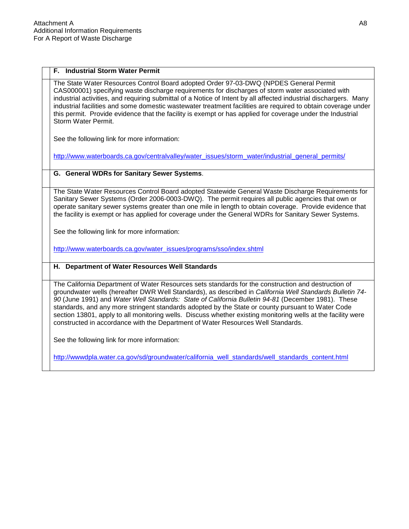#### **F. Industrial Storm Water Permit**

The State Water Resources Control Board adopted Order 97-03-DWQ (NPDES General Permit CAS000001) specifying waste discharge requirements for discharges of storm water associated with industrial activities, and requiring submittal of a Notice of Intent by all affected industrial dischargers. Many industrial facilities and some domestic wastewater treatment facilities are required to obtain coverage under this permit. Provide evidence that the facility is exempt or has applied for coverage under the Industrial Storm Water Permit.

See the following link for more information:

[http://www.waterboards.ca.gov/centralvalley/water\\_issues/storm\\_water/industrial\\_general\\_permits/](http://www.waterboards.ca.gov/centralvalley/water_issues/storm_water/industrial_general_permits/)

#### **G. General WDRs for Sanitary Sewer Systems**.

The State Water Resources Control Board adopted Statewide General Waste Discharge Requirements for Sanitary Sewer Systems (Order 2006-0003-DWQ). The permit requires all public agencies that own or operate sanitary sewer systems greater than one mile in length to obtain coverage. Provide evidence that the facility is exempt or has applied for coverage under the General WDRs for Sanitary Sewer Systems.

See the following link for more information:

[http://www.waterboards.ca.gov/water\\_issues/programs/sso/index.shtml](http://www.waterboards.ca.gov/water_issues/programs/sso/index.shtml)

#### **H. Department of Water Resources Well Standards**

The California Department of Water Resources sets standards for the construction and destruction of groundwater wells (hereafter DWR Well Standards), as described in *California Well Standards Bulletin 74- 90* (June 1991) and *Water Well Standards: State of California Bulletin 94-81* (December 1981). These standards, and any more stringent standards adopted by the State or county pursuant to Water Code section 13801, apply to all monitoring wells. Discuss whether existing monitoring wells at the facility were constructed in accordance with the Department of Water Resources Well Standards.

See the following link for more information:

[http://wwwdpla.water.ca.gov/sd/groundwater/california\\_well\\_standards/well\\_standards\\_content.html](http://wwwdpla.water.ca.gov/sd/groundwater/california_well_standards/well_standards_content.html)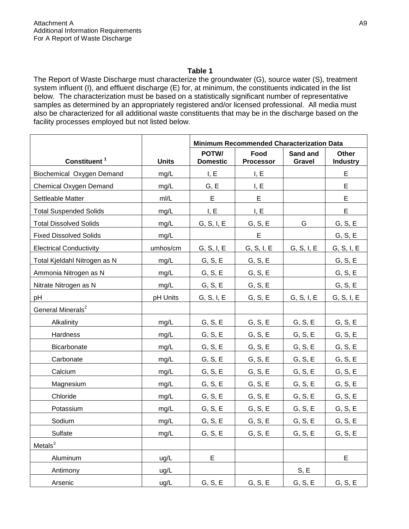The Report of Waste Discharge must characterize the groundwater (G), source water (S), treatment system influent (I), and effluent discharge (E) for, at minimum, the constituents indicated in the list below. The characterization must be based on a statistically significant number of representative samples as determined by an appropriately registered and/or licensed professional. All media must also be characterized for all additional waste constituents that may be in the discharge based on the facility processes employed but not listed below.

|                                |              | <b>Minimum Recommended Characterization Data</b> |                          |                           |                                 |  |
|--------------------------------|--------------|--------------------------------------------------|--------------------------|---------------------------|---------------------------------|--|
| Constituent <sup>1</sup>       | <b>Units</b> | POTW/<br><b>Domestic</b>                         | Food<br><b>Processor</b> | Sand and<br><b>Gravel</b> | <b>Other</b><br><b>Industry</b> |  |
| Biochemical Oxygen Demand      | mg/L         | I, E                                             | I, E                     |                           | E.                              |  |
| Chemical Oxygen Demand         | mg/L         | G, E                                             | I, E                     |                           | E                               |  |
| Settleable Matter              | m/L          | E                                                | E                        |                           | E                               |  |
| <b>Total Suspended Solids</b>  | mg/L         | I, E                                             | I, E                     |                           | E                               |  |
| <b>Total Dissolved Solids</b>  | mg/L         | G, S, I, E                                       | G, S, E                  | G                         | G, S, E                         |  |
| <b>Fixed Dissolved Solids</b>  | mg/L         |                                                  | E                        |                           | G, S, E                         |  |
| <b>Electrical Conductivity</b> | umhos/cm     | G, S, I, E                                       | G, S, I, E               | G, S, I, E                | G, S, I, E                      |  |
| Total Kjeldahl Nitrogen as N   | mg/L         | G, S, E                                          | G, S, E                  |                           | G, S, E                         |  |
| Ammonia Nitrogen as N          | mg/L         | G, S, E                                          | G, S, E                  |                           | G, S, E                         |  |
| Nitrate Nitrogen as N          | mg/L         | G, S, E                                          | G, S, E                  |                           | G, S, E                         |  |
| pH                             | pH Units     | G, S, I, E                                       | G, S, E                  | G, S, I, E                | G, S, I, E                      |  |
| General Minerals <sup>2</sup>  |              |                                                  |                          |                           |                                 |  |
| Alkalinity                     | mg/L         | G, S, E                                          | G, S, E                  | G, S, E                   | G, S, E                         |  |
| Hardness                       | mg/L         | G, S, E                                          | G, S, E                  | G, S, E                   | G, S, E                         |  |
| Bicarbonate                    | mg/L         | G, S, E                                          | G, S, E                  | G, S, E                   | G, S, E                         |  |
| Carbonate                      | mg/L         | G, S, E                                          | G, S, E                  | G, S, E                   | G, S, E                         |  |
| Calcium                        | mg/L         | G, S, E                                          | G, S, E                  | G, S, E                   | G, S, E                         |  |
| Magnesium                      | mg/L         | G, S, E                                          | G, S, E                  | G, S, E                   | G, S, E                         |  |
| Chloride                       | mg/L         | G, S, E                                          | G, S, E                  | G, S, E                   | G, S, E                         |  |
| Potassium                      | mg/L         | G, S, E                                          | G, S, E                  | G, S, E                   | G, S, E                         |  |
| Sodium                         | mg/L         | G, S, E                                          | G, S, E                  | G, S, E                   | G, S, E                         |  |
| Sulfate                        | mg/L         | G, S, E                                          | G, S, E                  | G, S, E                   | G, S, E                         |  |
| Metals $3$                     |              |                                                  |                          |                           |                                 |  |
| Aluminum                       | ug/L         | E                                                |                          |                           | E                               |  |
| Antimony                       | ug/L         |                                                  |                          | S, E                      |                                 |  |
| Arsenic                        | ug/L         | G, S, E                                          | G, S, E                  | G, S, E                   | G, S, E                         |  |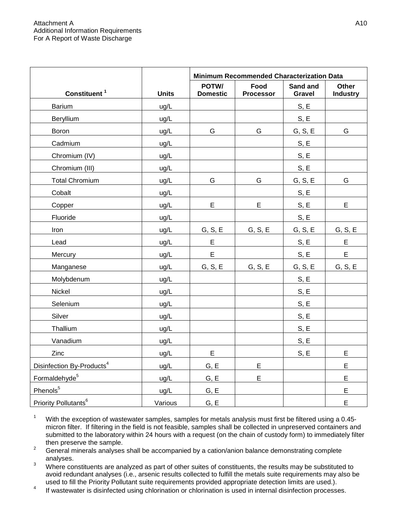|                                       |              | Minimum Recommended Characterization Data |                          |                           |                          |  |
|---------------------------------------|--------------|-------------------------------------------|--------------------------|---------------------------|--------------------------|--|
| Constituent <sup>1</sup>              | <b>Units</b> | POTW/<br><b>Domestic</b>                  | Food<br><b>Processor</b> | Sand and<br><b>Gravel</b> | Other<br><b>Industry</b> |  |
| Barium                                | ug/L         |                                           |                          | S, E                      |                          |  |
| Beryllium                             | ug/L         |                                           |                          | S, E                      |                          |  |
| Boron                                 | ug/L         | G                                         | G                        | G, S, E                   | G                        |  |
| Cadmium                               | ug/L         |                                           |                          | S, E                      |                          |  |
| Chromium (IV)                         | ug/L         |                                           |                          | S, E                      |                          |  |
| Chromium (III)                        | ug/L         |                                           |                          | S, E                      |                          |  |
| <b>Total Chromium</b>                 | ug/L         | G                                         | G                        | G, S, E                   | G                        |  |
| Cobalt                                | ug/L         |                                           |                          | S, E                      |                          |  |
| Copper                                | ug/L         | E                                         | E                        | S, E                      | E                        |  |
| Fluoride                              | ug/L         |                                           |                          | S, E                      |                          |  |
| Iron                                  | ug/L         | G, S, E                                   | G, S, E                  | G, S, E                   | G, S, E                  |  |
| Lead                                  | ug/L         | E                                         |                          | S, E                      | E                        |  |
| Mercury                               | ug/L         | E                                         |                          | S, E                      | E                        |  |
| Manganese                             | ug/L         | G, S, E                                   | G, S, E                  | G, S, E                   | G, S, E                  |  |
| Molybdenum                            | ug/L         |                                           |                          | S, E                      |                          |  |
| Nickel                                | ug/L         |                                           |                          | S, E                      |                          |  |
| Selenium                              | ug/L         |                                           |                          | S, E                      |                          |  |
| Silver                                | ug/L         |                                           |                          | S, E                      |                          |  |
| Thallium                              | ug/L         |                                           |                          | S, E                      |                          |  |
| Vanadium                              | ug/L         |                                           |                          | S, E                      |                          |  |
| Zinc                                  | ug/L         | E                                         |                          | S, E                      | E                        |  |
| Disinfection By-Products <sup>4</sup> | ug/L         | G, E                                      | E                        |                           | E                        |  |
| Formaldehyde <sup>5</sup>             | ug/L         | G, E                                      | E                        |                           | E                        |  |
| Phenols <sup>5</sup>                  | ug/L         | G, E                                      |                          |                           | E                        |  |
| Priority Pollutants <sup>6</sup>      | Various      | G, E                                      |                          |                           | E                        |  |

<sup>1</sup> With the exception of wastewater samples, samples for metals analysis must first be filtered using a 0.45micron filter. If filtering in the field is not feasible, samples shall be collected in unpreserved containers and submitted to the laboratory within 24 hours with a request (on the chain of custody form) to immediately filter then preserve the sample.

2 General minerals analyses shall be accompanied by a cation/anion balance demonstrating complete analyses.

3 Where constituents are analyzed as part of other suites of constituents, the results may be substituted to avoid redundant analyses (i.e., arsenic results collected to fulfill the metals suite requirements may also be used to fill the Priority Pollutant suite requirements provided appropriate detection limits are used.).

<sup>4</sup> If wastewater is disinfected using chlorination or chlorination is used in internal disinfection processes.